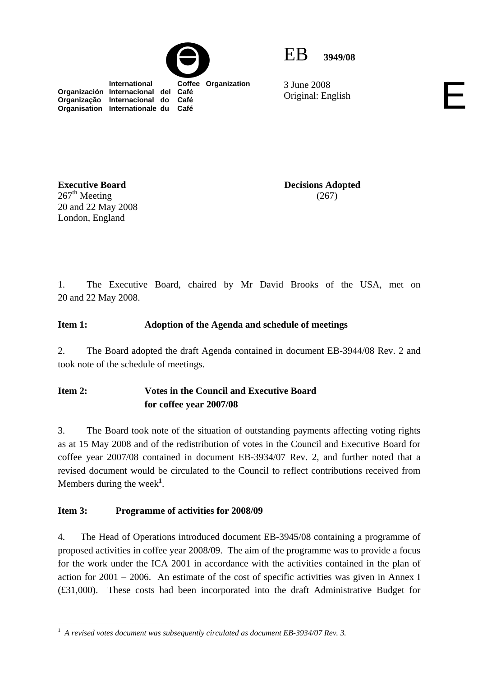



3 June 2008 3 June 2008<br>Original: English

 **International Coffee Organization Organización Internacional del Café Organização Internacional do Café Organisation Internationale du Café**

**Executive Board**   $267<sup>th</sup>$  Meeting 20 and 22 May 2008 London, England

**Decisions Adopted**  (267)

1. The Executive Board, chaired by Mr David Brooks of the USA, met on 20 and 22 May 2008.

### **Item 1: Adoption of the Agenda and schedule of meetings**

2. The Board adopted the draft Agenda contained in document EB-3944/08 Rev. 2 and took note of the schedule of meetings.

### **Item 2: Votes in the Council and Executive Board for coffee year 2007/08**

3. The Board took note of the situation of outstanding payments affecting voting rights as at 15 May 2008 and of the redistribution of votes in the Council and Executive Board for coffee year 2007/08 contained in document EB-3934/07 Rev. 2, and further noted that a revised document would be circulated to the Council to reflect contributions received from Members during the week**<sup>1</sup>** .

#### **Item 3: Programme of activities for 2008/09**

4. The Head of Operations introduced document EB-3945/08 containing a programme of proposed activities in coffee year 2008/09. The aim of the programme was to provide a focus for the work under the ICA 2001 in accordance with the activities contained in the plan of action for  $2001 - 2006$ . An estimate of the cost of specific activities was given in Annex I (£31,000). These costs had been incorporated into the draft Administrative Budget for

 $\overline{a}$ <sup>1</sup> A revised votes document was subsequently circulated as document EB-3934/07 Rev. 3.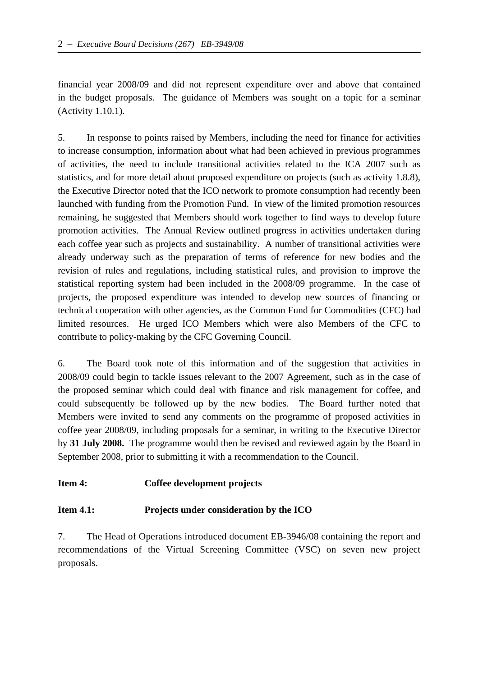financial year 2008/09 and did not represent expenditure over and above that contained in the budget proposals. The guidance of Members was sought on a topic for a seminar (Activity 1.10.1).

5. In response to points raised by Members, including the need for finance for activities to increase consumption, information about what had been achieved in previous programmes of activities, the need to include transitional activities related to the ICA 2007 such as statistics, and for more detail about proposed expenditure on projects (such as activity 1.8.8), the Executive Director noted that the ICO network to promote consumption had recently been launched with funding from the Promotion Fund. In view of the limited promotion resources remaining, he suggested that Members should work together to find ways to develop future promotion activities. The Annual Review outlined progress in activities undertaken during each coffee year such as projects and sustainability. A number of transitional activities were already underway such as the preparation of terms of reference for new bodies and the revision of rules and regulations, including statistical rules, and provision to improve the statistical reporting system had been included in the 2008/09 programme. In the case of projects, the proposed expenditure was intended to develop new sources of financing or technical cooperation with other agencies, as the Common Fund for Commodities (CFC) had limited resources. He urged ICO Members which were also Members of the CFC to contribute to policy-making by the CFC Governing Council.

6. The Board took note of this information and of the suggestion that activities in 2008/09 could begin to tackle issues relevant to the 2007 Agreement, such as in the case of the proposed seminar which could deal with finance and risk management for coffee, and could subsequently be followed up by the new bodies. The Board further noted that Members were invited to send any comments on the programme of proposed activities in coffee year 2008/09, including proposals for a seminar, in writing to the Executive Director by **31 July 2008.** The programme would then be revised and reviewed again by the Board in September 2008, prior to submitting it with a recommendation to the Council.

#### **Item 4: Coffee development projects**

#### **Item 4.1: Projects under consideration by the ICO**

7. The Head of Operations introduced document EB-3946/08 containing the report and recommendations of the Virtual Screening Committee (VSC) on seven new project proposals.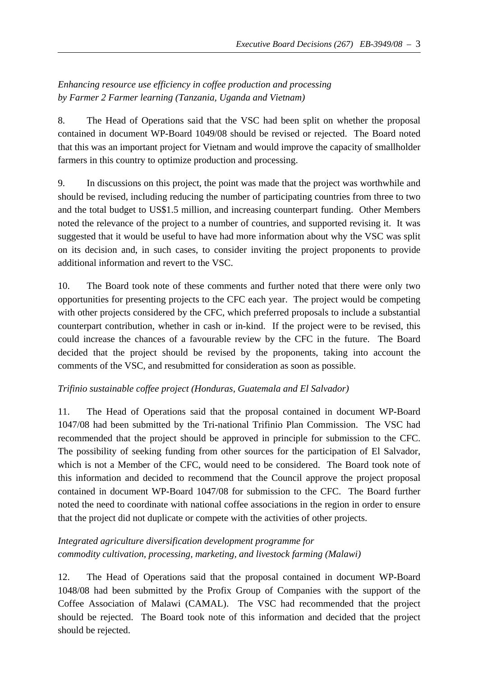# *Enhancing resource use efficiency in coffee production and processing by Farmer 2 Farmer learning (Tanzania, Uganda and Vietnam)*

8. The Head of Operations said that the VSC had been split on whether the proposal contained in document WP-Board 1049/08 should be revised or rejected. The Board noted that this was an important project for Vietnam and would improve the capacity of smallholder farmers in this country to optimize production and processing.

9. In discussions on this project, the point was made that the project was worthwhile and should be revised, including reducing the number of participating countries from three to two and the total budget to US\$1.5 million, and increasing counterpart funding. Other Members noted the relevance of the project to a number of countries, and supported revising it. It was suggested that it would be useful to have had more information about why the VSC was split on its decision and, in such cases, to consider inviting the project proponents to provide additional information and revert to the VSC.

10. The Board took note of these comments and further noted that there were only two opportunities for presenting projects to the CFC each year. The project would be competing with other projects considered by the CFC, which preferred proposals to include a substantial counterpart contribution, whether in cash or in-kind. If the project were to be revised, this could increase the chances of a favourable review by the CFC in the future. The Board decided that the project should be revised by the proponents, taking into account the comments of the VSC, and resubmitted for consideration as soon as possible.

### *Trifinio sustainable coffee project (Honduras, Guatemala and El Salvador)*

11. The Head of Operations said that the proposal contained in document WP-Board 1047/08 had been submitted by the Tri-national Trifinio Plan Commission. The VSC had recommended that the project should be approved in principle for submission to the CFC. The possibility of seeking funding from other sources for the participation of El Salvador, which is not a Member of the CFC, would need to be considered. The Board took note of this information and decided to recommend that the Council approve the project proposal contained in document WP-Board 1047/08 for submission to the CFC. The Board further noted the need to coordinate with national coffee associations in the region in order to ensure that the project did not duplicate or compete with the activities of other projects.

# *Integrated agriculture diversification development programme for commodity cultivation, processing, marketing, and livestock farming (Malawi)*

12. The Head of Operations said that the proposal contained in document WP-Board 1048/08 had been submitted by the Profix Group of Companies with the support of the Coffee Association of Malawi (CAMAL). The VSC had recommended that the project should be rejected. The Board took note of this information and decided that the project should be rejected.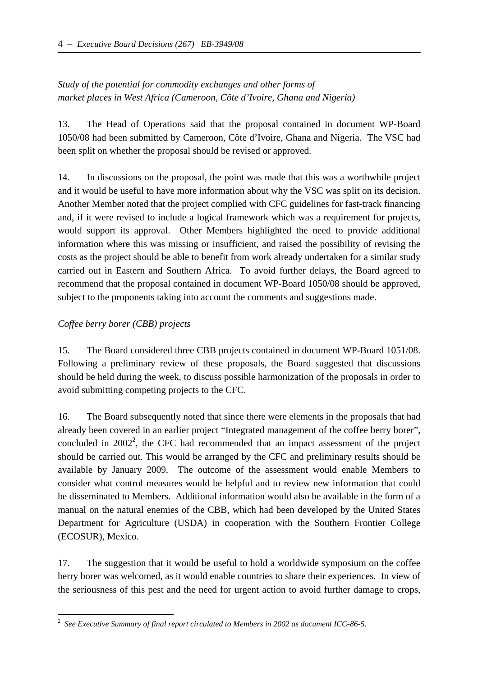# *Study of the potential for commodity exchanges and other forms of market places in West Africa (Cameroon, Côte d'Ivoire, Ghana and Nigeria)*

13. The Head of Operations said that the proposal contained in document WP-Board 1050/08 had been submitted by Cameroon, Côte d'Ivoire, Ghana and Nigeria. The VSC had been split on whether the proposal should be revised or approved.

14. In discussions on the proposal, the point was made that this was a worthwhile project and it would be useful to have more information about why the VSC was split on its decision. Another Member noted that the project complied with CFC guidelines for fast-track financing and, if it were revised to include a logical framework which was a requirement for projects, would support its approval. Other Members highlighted the need to provide additional information where this was missing or insufficient, and raised the possibility of revising the costs as the project should be able to benefit from work already undertaken for a similar study carried out in Eastern and Southern Africa. To avoid further delays, the Board agreed to recommend that the proposal contained in document WP-Board 1050/08 should be approved, subject to the proponents taking into account the comments and suggestions made.

### *Coffee berry borer (CBB) projects*

 $\overline{a}$ 

15. The Board considered three CBB projects contained in document WP-Board 1051/08. Following a preliminary review of these proposals, the Board suggested that discussions should be held during the week, to discuss possible harmonization of the proposals in order to avoid submitting competing projects to the CFC.

16. The Board subsequently noted that since there were elements in the proposals that had already been covered in an earlier project "Integrated management of the coffee berry borer", concluded in 2002**<sup>2</sup>** , the CFC had recommended that an impact assessment of the project should be carried out. This would be arranged by the CFC and preliminary results should be available by January 2009. The outcome of the assessment would enable Members to consider what control measures would be helpful and to review new information that could be disseminated to Members. Additional information would also be available in the form of a manual on the natural enemies of the CBB, which had been developed by the United States Department for Agriculture (USDA) in cooperation with the Southern Frontier College (ECOSUR), Mexico.

17. The suggestion that it would be useful to hold a worldwide symposium on the coffee berry borer was welcomed, as it would enable countries to share their experiences. In view of the seriousness of this pest and the need for urgent action to avoid further damage to crops,

<sup>2</sup> *See Executive Summary of final report circulated to Members in 2002 as document ICC-86-5.*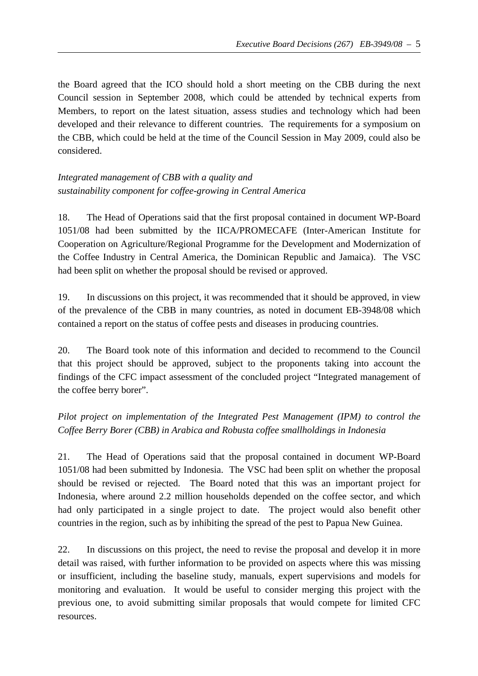the Board agreed that the ICO should hold a short meeting on the CBB during the next Council session in September 2008, which could be attended by technical experts from Members, to report on the latest situation, assess studies and technology which had been developed and their relevance to different countries. The requirements for a symposium on the CBB, which could be held at the time of the Council Session in May 2009, could also be considered.

# *Integrated management of CBB with a quality and sustainability component for coffee-growing in Central America*

18. The Head of Operations said that the first proposal contained in document WP-Board 1051/08 had been submitted by the IICA/PROMECAFE (Inter-American Institute for Cooperation on Agriculture/Regional Programme for the Development and Modernization of the Coffee Industry in Central America, the Dominican Republic and Jamaica). The VSC had been split on whether the proposal should be revised or approved.

19. In discussions on this project, it was recommended that it should be approved, in view of the prevalence of the CBB in many countries, as noted in document EB-3948/08 which contained a report on the status of coffee pests and diseases in producing countries.

20. The Board took note of this information and decided to recommend to the Council that this project should be approved, subject to the proponents taking into account the findings of the CFC impact assessment of the concluded project "Integrated management of the coffee berry borer".

# *Pilot project on implementation of the Integrated Pest Management (IPM) to control the Coffee Berry Borer (CBB) in Arabica and Robusta coffee smallholdings in Indonesia*

21. The Head of Operations said that the proposal contained in document WP-Board 1051/08 had been submitted by Indonesia. The VSC had been split on whether the proposal should be revised or rejected. The Board noted that this was an important project for Indonesia, where around 2.2 million households depended on the coffee sector, and which had only participated in a single project to date. The project would also benefit other countries in the region, such as by inhibiting the spread of the pest to Papua New Guinea.

22. In discussions on this project, the need to revise the proposal and develop it in more detail was raised, with further information to be provided on aspects where this was missing or insufficient, including the baseline study, manuals, expert supervisions and models for monitoring and evaluation. It would be useful to consider merging this project with the previous one, to avoid submitting similar proposals that would compete for limited CFC resources.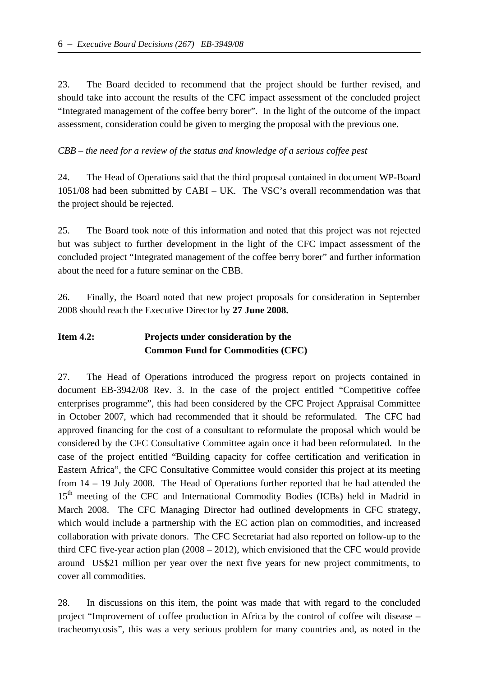23. The Board decided to recommend that the project should be further revised, and should take into account the results of the CFC impact assessment of the concluded project "Integrated management of the coffee berry borer". In the light of the outcome of the impact assessment, consideration could be given to merging the proposal with the previous one.

#### *CBB – the need for a review of the status and knowledge of a serious coffee pest*

24. The Head of Operations said that the third proposal contained in document WP-Board 1051/08 had been submitted by CABI – UK. The VSC's overall recommendation was that the project should be rejected.

25. The Board took note of this information and noted that this project was not rejected but was subject to further development in the light of the CFC impact assessment of the concluded project "Integrated management of the coffee berry borer" and further information about the need for a future seminar on the CBB.

26. Finally, the Board noted that new project proposals for consideration in September 2008 should reach the Executive Director by **27 June 2008.**

# **Item 4.2: Projects under consideration by the Common Fund for Commodities (CFC)**

27. The Head of Operations introduced the progress report on projects contained in document EB-3942/08 Rev. 3. In the case of the project entitled "Competitive coffee enterprises programme", this had been considered by the CFC Project Appraisal Committee in October 2007, which had recommended that it should be reformulated. The CFC had approved financing for the cost of a consultant to reformulate the proposal which would be considered by the CFC Consultative Committee again once it had been reformulated. In the case of the project entitled "Building capacity for coffee certification and verification in Eastern Africa", the CFC Consultative Committee would consider this project at its meeting from 14 – 19 July 2008. The Head of Operations further reported that he had attended the 15<sup>th</sup> meeting of the CFC and International Commodity Bodies (ICBs) held in Madrid in March 2008. The CFC Managing Director had outlined developments in CFC strategy, which would include a partnership with the EC action plan on commodities, and increased collaboration with private donors. The CFC Secretariat had also reported on follow-up to the third CFC five-year action plan (2008 – 2012), which envisioned that the CFC would provide around US\$21 million per year over the next five years for new project commitments, to cover all commodities.

28. In discussions on this item, the point was made that with regard to the concluded project "Improvement of coffee production in Africa by the control of coffee wilt disease – tracheomycosis", this was a very serious problem for many countries and, as noted in the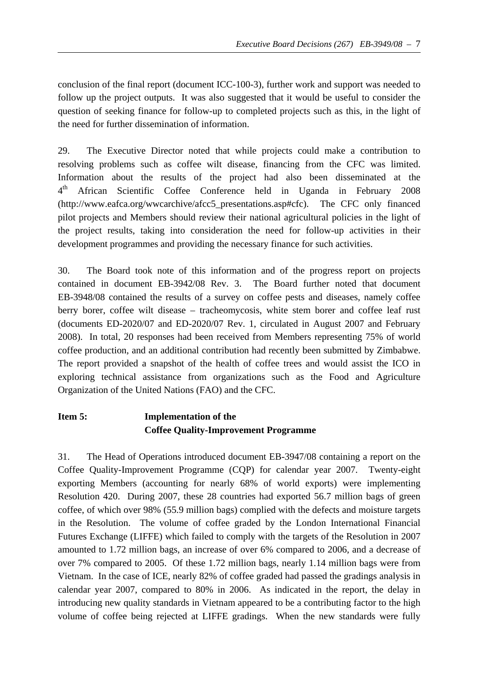conclusion of the final report (document ICC-100-3), further work and support was needed to follow up the project outputs. It was also suggested that it would be useful to consider the question of seeking finance for follow-up to completed projects such as this, in the light of the need for further dissemination of information.

29. The Executive Director noted that while projects could make a contribution to resolving problems such as coffee wilt disease, financing from the CFC was limited. Information about the results of the project had also been disseminated at the 4th African Scientific Coffee Conference held in Uganda in February 2008 (http://www.eafca.org/wwcarchive/afcc5\_presentations.asp#cfc). The CFC only financed pilot projects and Members should review their national agricultural policies in the light of the project results, taking into consideration the need for follow-up activities in their development programmes and providing the necessary finance for such activities.

30. The Board took note of this information and of the progress report on projects contained in document EB-3942/08 Rev. 3. The Board further noted that document EB-3948/08 contained the results of a survey on coffee pests and diseases, namely coffee berry borer, coffee wilt disease – tracheomycosis, white stem borer and coffee leaf rust (documents ED-2020/07 and ED-2020/07 Rev. 1, circulated in August 2007 and February 2008). In total, 20 responses had been received from Members representing 75% of world coffee production, and an additional contribution had recently been submitted by Zimbabwe. The report provided a snapshot of the health of coffee trees and would assist the ICO in exploring technical assistance from organizations such as the Food and Agriculture Organization of the United Nations (FAO) and the CFC.

# **Item 5: Implementation of the Coffee Quality-Improvement Programme**

31. The Head of Operations introduced document EB-3947/08 containing a report on the Coffee Quality-Improvement Programme (CQP) for calendar year 2007. Twenty-eight exporting Members (accounting for nearly 68% of world exports) were implementing Resolution 420. During 2007, these 28 countries had exported 56.7 million bags of green coffee, of which over 98% (55.9 million bags) complied with the defects and moisture targets in the Resolution. The volume of coffee graded by the London International Financial Futures Exchange (LIFFE) which failed to comply with the targets of the Resolution in 2007 amounted to 1.72 million bags, an increase of over 6% compared to 2006, and a decrease of over 7% compared to 2005. Of these 1.72 million bags, nearly 1.14 million bags were from Vietnam. In the case of ICE, nearly 82% of coffee graded had passed the gradings analysis in calendar year 2007, compared to 80% in 2006. As indicated in the report, the delay in introducing new quality standards in Vietnam appeared to be a contributing factor to the high volume of coffee being rejected at LIFFE gradings. When the new standards were fully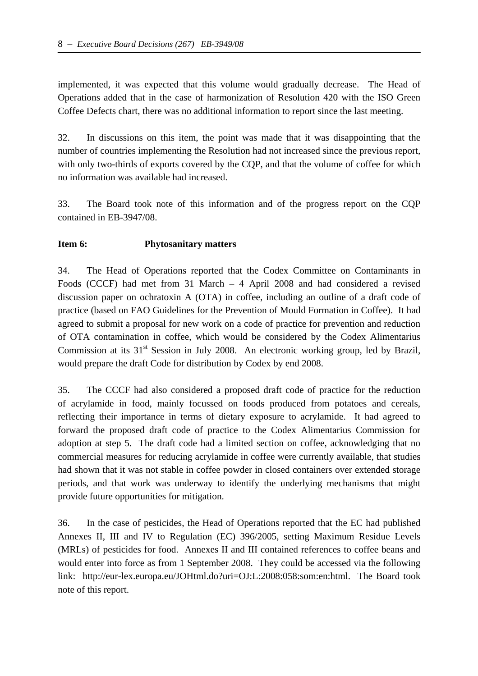implemented, it was expected that this volume would gradually decrease. The Head of Operations added that in the case of harmonization of Resolution 420 with the ISO Green Coffee Defects chart, there was no additional information to report since the last meeting.

32. In discussions on this item, the point was made that it was disappointing that the number of countries implementing the Resolution had not increased since the previous report, with only two-thirds of exports covered by the COP, and that the volume of coffee for which no information was available had increased.

33. The Board took note of this information and of the progress report on the CQP contained in EB-3947/08.

#### **Item 6: Phytosanitary matters**

34. The Head of Operations reported that the Codex Committee on Contaminants in Foods (CCCF) had met from 31 March – 4 April 2008 and had considered a revised discussion paper on ochratoxin A (OTA) in coffee, including an outline of a draft code of practice (based on FAO Guidelines for the Prevention of Mould Formation in Coffee). It had agreed to submit a proposal for new work on a code of practice for prevention and reduction of OTA contamination in coffee, which would be considered by the Codex Alimentarius Commission at its  $31<sup>st</sup>$  Session in July 2008. An electronic working group, led by Brazil, would prepare the draft Code for distribution by Codex by end 2008.

35. The CCCF had also considered a proposed draft code of practice for the reduction of acrylamide in food, mainly focussed on foods produced from potatoes and cereals, reflecting their importance in terms of dietary exposure to acrylamide. It had agreed to forward the proposed draft code of practice to the Codex Alimentarius Commission for adoption at step 5. The draft code had a limited section on coffee, acknowledging that no commercial measures for reducing acrylamide in coffee were currently available, that studies had shown that it was not stable in coffee powder in closed containers over extended storage periods, and that work was underway to identify the underlying mechanisms that might provide future opportunities for mitigation.

36. In the case of pesticides, the Head of Operations reported that the EC had published Annexes II, III and IV to Regulation (EC) 396/2005, setting Maximum Residue Levels (MRLs) of pesticides for food. Annexes II and III contained references to coffee beans and would enter into force as from 1 September 2008. They could be accessed via the following link: http://eur-lex.europa.eu/JOHtml.do?uri=OJ:L:2008:058:som:en:html. The Board took note of this report.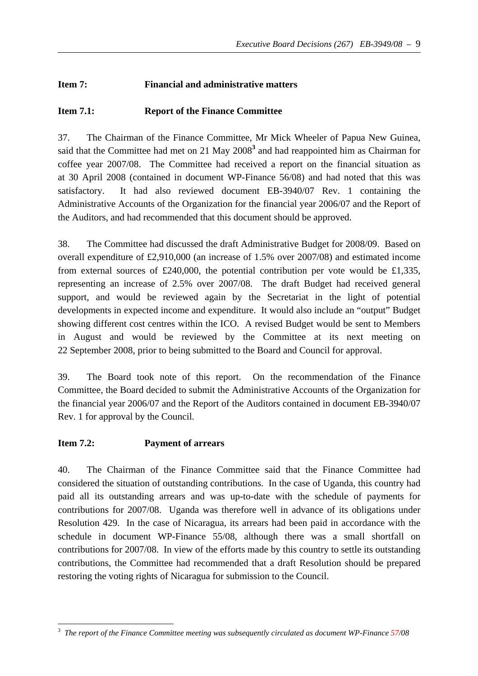## **Item 7: Financial and administrative matters**

### **Item 7.1: Report of the Finance Committee**

37. The Chairman of the Finance Committee, Mr Mick Wheeler of Papua New Guinea, said that the Committee had met on 21 May 2008**<sup>3</sup>** and had reappointed him as Chairman for coffee year 2007/08. The Committee had received a report on the financial situation as at 30 April 2008 (contained in document WP-Finance 56/08) and had noted that this was satisfactory. It had also reviewed document EB-3940/07 Rev. 1 containing the Administrative Accounts of the Organization for the financial year 2006/07 and the Report of the Auditors, and had recommended that this document should be approved.

38. The Committee had discussed the draft Administrative Budget for 2008/09. Based on overall expenditure of £2,910,000 (an increase of 1.5% over 2007/08) and estimated income from external sources of £240,000, the potential contribution per vote would be £1,335, representing an increase of 2.5% over 2007/08. The draft Budget had received general support, and would be reviewed again by the Secretariat in the light of potential developments in expected income and expenditure. It would also include an "output" Budget showing different cost centres within the ICO. A revised Budget would be sent to Members in August and would be reviewed by the Committee at its next meeting on 22 September 2008, prior to being submitted to the Board and Council for approval.

39. The Board took note of this report. On the recommendation of the Finance Committee, the Board decided to submit the Administrative Accounts of the Organization for the financial year 2006/07 and the Report of the Auditors contained in document EB-3940/07 Rev. 1 for approval by the Council.

#### **Item 7.2: Payment of arrears**

40. The Chairman of the Finance Committee said that the Finance Committee had considered the situation of outstanding contributions. In the case of Uganda, this country had paid all its outstanding arrears and was up-to-date with the schedule of payments for contributions for 2007/08. Uganda was therefore well in advance of its obligations under Resolution 429. In the case of Nicaragua, its arrears had been paid in accordance with the schedule in document WP-Finance 55/08, although there was a small shortfall on contributions for 2007/08. In view of the efforts made by this country to settle its outstanding contributions, the Committee had recommended that a draft Resolution should be prepared restoring the voting rights of Nicaragua for submission to the Council.

 3 *The report of the Finance Committee meeting was subsequently circulated as document WP-Finance 57/08*